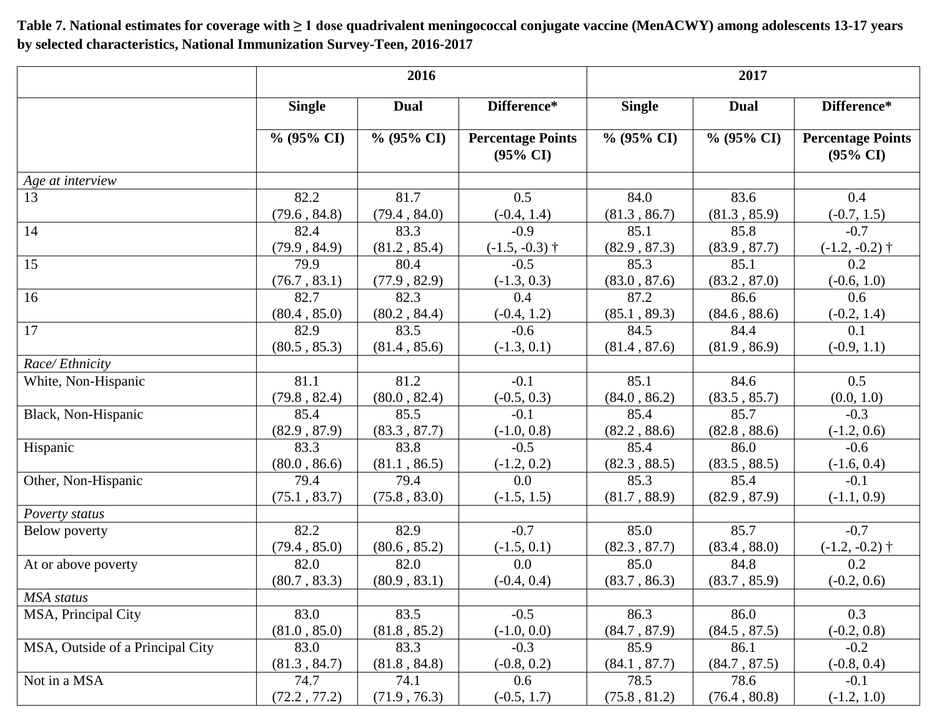**Table 7. National estimates for coverage with ≥ 1 dose quadrivalent meningococcal conjugate vaccine (MenACWY) among adolescents 13-17 years by selected characteristics, National Immunization Survey-Teen, 2016-2017**

|                                  | 2016          |               |                                                 | 2017          |               |                                                 |  |
|----------------------------------|---------------|---------------|-------------------------------------------------|---------------|---------------|-------------------------------------------------|--|
|                                  | <b>Single</b> | <b>Dual</b>   | Difference*                                     | <b>Single</b> | <b>Dual</b>   | Difference*                                     |  |
|                                  | $\%$ (95% CI) | $\%$ (95% CI) | <b>Percentage Points</b><br>$(95\% \text{ CI})$ | $\%$ (95% CI) | $\%$ (95% CI) | <b>Percentage Points</b><br>$(95\% \text{ CI})$ |  |
| Age at interview                 |               |               |                                                 |               |               |                                                 |  |
| 13                               | 82.2          | 81.7          | 0.5                                             | 84.0          | 83.6          | 0.4                                             |  |
|                                  | (79.6, 84.8)  | (79.4, 84.0)  | $(-0.4, 1.4)$                                   | (81.3, 86.7)  | (81.3, 85.9)  | $(-0.7, 1.5)$                                   |  |
| 14                               | 82.4          | 83.3          | $-0.9$                                          | 85.1          | 85.8          | $-0.7$                                          |  |
|                                  | (79.9, 84.9)  | (81.2, 85.4)  | $(-1.5, -0.3)$ †                                | (82.9, 87.3)  | (83.9, 87.7)  | $(-1.2, -0.2)$ †                                |  |
| 15                               | 79.9          | 80.4          | $-0.5$                                          | 85.3          | 85.1          | 0.2                                             |  |
|                                  | (76.7, 83.1)  | (77.9, 82.9)  | $(-1.3, 0.3)$                                   | (83.0, 87.6)  | (83.2, 87.0)  | $(-0.6, 1.0)$                                   |  |
| 16                               | 82.7          | 82.3          | 0.4                                             | 87.2          | 86.6          | 0.6                                             |  |
|                                  | (80.4, 85.0)  | (80.2, 84.4)  | $(-0.4, 1.2)$                                   | (85.1, 89.3)  | (84.6, 88.6)  | $(-0.2, 1.4)$                                   |  |
| 17                               | 82.9          | 83.5          | $-0.6$                                          | 84.5          | 84.4          | 0.1                                             |  |
|                                  | (80.5, 85.3)  | (81.4, 85.6)  | $(-1.3, 0.1)$                                   | (81.4, 87.6)  | (81.9, 86.9)  | $(-0.9, 1.1)$                                   |  |
| Race/Ethnicity                   |               |               |                                                 |               |               |                                                 |  |
| White, Non-Hispanic              | 81.1          | 81.2          | $-0.1$                                          | 85.1          | 84.6          | 0.5                                             |  |
|                                  | (79.8, 82.4)  | (80.0, 82.4)  | $(-0.5, 0.3)$                                   | (84.0, 86.2)  | (83.5, 85.7)  | (0.0, 1.0)                                      |  |
| Black, Non-Hispanic              | 85.4          | 85.5          | $-0.1$                                          | 85.4          | 85.7          | $-0.3$                                          |  |
|                                  | (82.9, 87.9)  | (83.3, 87.7)  | $(-1.0, 0.8)$                                   | (82.2, 88.6)  | (82.8, 88.6)  | $(-1.2, 0.6)$                                   |  |
| Hispanic                         | 83.3          | 83.8          | $-0.5$                                          | 85.4          | 86.0          | $-0.6$                                          |  |
|                                  | (80.0, 86.6)  | (81.1, 86.5)  | $(-1.2, 0.2)$                                   | (82.3, 88.5)  | (83.5, 88.5)  | $(-1.6, 0.4)$                                   |  |
| Other, Non-Hispanic              | 79.4          | 79.4          | 0.0                                             | 85.3          | 85.4          | $-0.1$                                          |  |
|                                  | (75.1, 83.7)  | (75.8, 83.0)  | $(-1.5, 1.5)$                                   | (81.7, 88.9)  | (82.9, 87.9)  | $(-1.1, 0.9)$                                   |  |
| Poverty status                   |               |               |                                                 |               |               |                                                 |  |
| Below poverty                    | 82.2          | 82.9          | $-0.7$                                          | 85.0          | 85.7          | $-0.7$                                          |  |
|                                  | (79.4, 85.0)  | (80.6, 85.2)  | $(-1.5, 0.1)$                                   | (82.3, 87.7)  | (83.4, 88.0)  | $(-1.2, -0.2)$ †                                |  |
| At or above poverty              | 82.0          | 82.0          | 0.0                                             | 85.0          | 84.8          | 0.2                                             |  |
|                                  | (80.7, 83.3)  | (80.9, 83.1)  | $(-0.4, 0.4)$                                   | (83.7, 86.3)  | (83.7, 85.9)  | $(-0.2, 0.6)$                                   |  |
| MSA status                       |               |               |                                                 |               |               |                                                 |  |
| MSA, Principal City              | 83.0          | 83.5          | $-0.5$                                          | 86.3          | 86.0          | 0.3                                             |  |
|                                  | (81.0, 85.0)  | (81.8, 85.2)  | $(-1.0, 0.0)$                                   | (84.7, 87.9)  | (84.5, 87.5)  | $(-0.2, 0.8)$                                   |  |
| MSA, Outside of a Principal City | 83.0          | 83.3          | $-0.3$                                          | 85.9          | 86.1          | $-0.2$                                          |  |
|                                  | (81.3, 84.7)  | (81.8, 84.8)  | $(-0.8, 0.2)$                                   | (84.1, 87.7)  | (84.7, 87.5)  | $(-0.8, 0.4)$                                   |  |
| Not in a MSA                     | 74.7          | 74.1          | 0.6                                             | 78.5          | 78.6          | $-0.1$                                          |  |
|                                  | (72.2, 77.2)  | (71.9, 76.3)  | $(-0.5, 1.7)$                                   | (75.8, 81.2)  | (76.4, 80.8)  | $(-1.2, 1.0)$                                   |  |